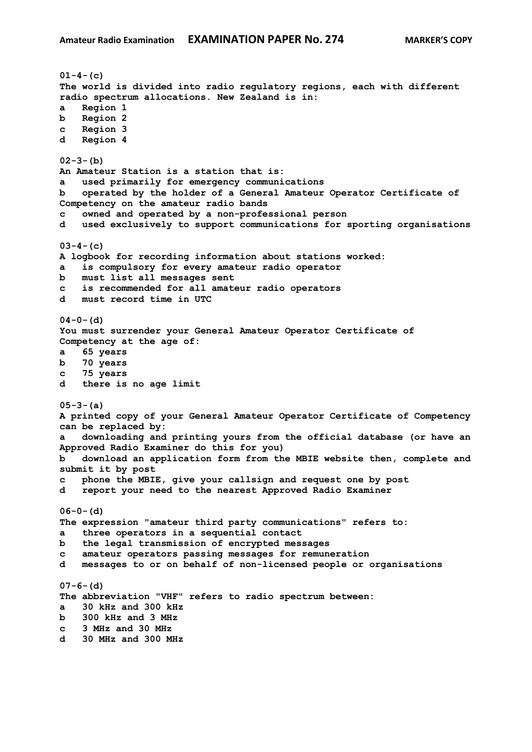```
01-4-(c)
The world is divided into radio regulatory regions, each with different 
radio spectrum allocations. New Zealand is in:
a Region 1
b Region 2
c Region 3
d Region 4
02-3-(b)
An Amateur Station is a station that is:
a used primarily for emergency communications
b operated by the holder of a General Amateur Operator Certificate of 
Competency on the amateur radio bands
c owned and operated by a non-professional person
d used exclusively to support communications for sporting organisations
03-4-(c)
A logbook for recording information about stations worked:
a is compulsory for every amateur radio operator
b must list all messages sent
c is recommended for all amateur radio operators
d must record time in UTC
04-0-(d)
You must surrender your General Amateur Operator Certificate of 
Competency at the age of:
a 65 years
b 70 years
c 75 years
d there is no age limit
05-3-(a)
A printed copy of your General Amateur Operator Certificate of Competency 
can be replaced by:
a downloading and printing yours from the official database (or have an 
Approved Radio Examiner do this for you)
b download an application form from the MBIE website then, complete and 
submit it by post
c phone the MBIE, give your callsign and request one by post
d report your need to the nearest Approved Radio Examiner
06-0-(d)
The expression "amateur third party communications" refers to:
a three operators in a sequential contact
b the legal transmission of encrypted messages
c amateur operators passing messages for remuneration
d messages to or on behalf of non-licensed people or organisations
07-6-(d)
The abbreviation "VHF" refers to radio spectrum between:
a 30 kHz and 300 kHz
b 300 kHz and 3 MHz
c 3 MHz and 30 MHz
d 30 MHz and 300 MHz
```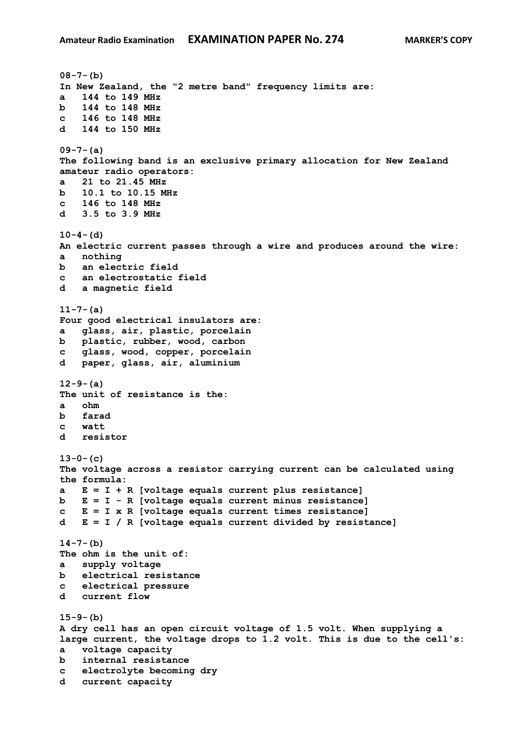```
08-7-(b)
In New Zealand, the "2 metre band" frequency limits are:
a 144 to 149 MHz
b 144 to 148 MHz
c 146 to 148 MHz
d 144 to 150 MHz
09-7-(a)
The following band is an exclusive primary allocation for New Zealand 
amateur radio operators:
a 21 to 21.45 MHz
b 10.1 to 10.15 MHz
c 146 to 148 MHz
d 3.5 to 3.9 MHz
10-4-(d)
An electric current passes through a wire and produces around the wire:
a nothing
b an electric field
c an electrostatic field
d a magnetic field
11-7-(a)
Four good electrical insulators are:
a glass, air, plastic, porcelain
b plastic, rubber, wood, carbon
c glass, wood, copper, porcelain
d paper, glass, air, aluminium
12-9-(a)
The unit of resistance is the:
a ohm
b farad
c watt
d resistor
13-0-(c)
The voltage across a resistor carrying current can be calculated using 
the formula:
a E = I + R [voltage equals current plus resistance]
b E = I - R [voltage equals current minus resistance]
c E = I x R [voltage equals current times resistance] 
d E = I / R [voltage equals current divided by resistance]
14-7-(b)
The ohm is the unit of:
a supply voltage
b electrical resistance
c electrical pressure
d current flow
15-9-(b)
A dry cell has an open circuit voltage of 1.5 volt. When supplying a
large current, the voltage drops to 1.2 volt. This is due to the cell's:
a voltage capacity
b internal resistance
c electrolyte becoming dry
d current capacity
```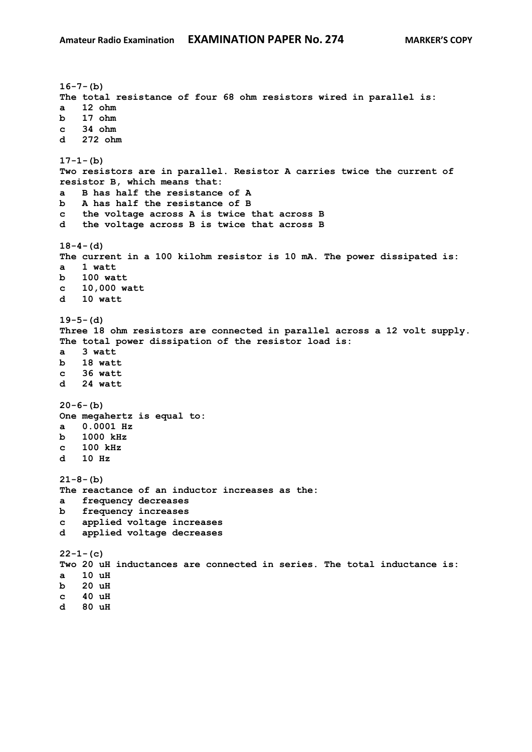```
16-7-(b)
The total resistance of four 68 ohm resistors wired in parallel is:
a 12 ohm
b 17 ohm 
c 34 ohm 
d 272 ohm
17-1-(b)
Two resistors are in parallel. Resistor A carries twice the current of 
resistor B, which means that:
a B has half the resistance of A
b A has half the resistance of B 
c the voltage across A is twice that across B
d the voltage across B is twice that across B 
18-4-(d)
The current in a 100 kilohm resistor is 10 mA. The power dissipated is:
a 1 watt
b 100 watt
c 10,000 watt
d 10 watt
19-5-(d)
Three 18 ohm resistors are connected in parallel across a 12 volt supply. 
The total power dissipation of the resistor load is:
a 3 watt
b 18 watt
c 36 watt 
d 24 watt 
20-6-(b)
One megahertz is equal to:
a 0.0001 Hz
b 1000 kHz
c 100 kHz
d 10 Hz
21-8-(b)
The reactance of an inductor increases as the:
a frequency decreases
b frequency increases 
c applied voltage increases
d applied voltage decreases 
22-1-(c)
Two 20 uH inductances are connected in series. The total inductance is:
a 10 uH
b 20 uH 
c 40 uH 
d 80 uH
```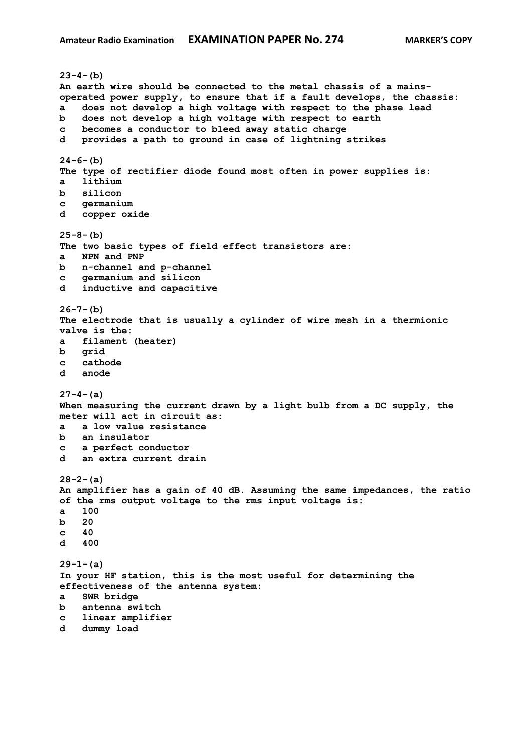```
23-4-(b)
An earth wire should be connected to the metal chassis of a mains-
operated power supply, to ensure that if a fault develops, the chassis:
a does not develop a high voltage with respect to the phase lead
b does not develop a high voltage with respect to earth
c becomes a conductor to bleed away static charge
d provides a path to ground in case of lightning strikes
24-6-(b)
The type of rectifier diode found most often in power supplies is:
a lithium
b silicon 
c germanium
d copper oxide
25-8-(b)
The two basic types of field effect transistors are:
a NPN and PNP
b n-channel and p-channel
c germanium and silicon
d inductive and capacitive
26-7-(b)
The electrode that is usually a cylinder of wire mesh in a thermionic 
valve is the:
a filament (heater)
b grid
c cathode
d anode
27-4-(a)
When measuring the current drawn by a light bulb from a DC supply, the 
meter will act in circuit as:
a a low value resistance
b an insulator
c a perfect conductor
d an extra current drain
28-2-(a)
An amplifier has a gain of 40 dB. Assuming the same impedances, the ratio 
of the rms output voltage to the rms input voltage is:
a 100
b 20
c 40 
d 400
29-1-(a)
In your HF station, this is the most useful for determining the 
effectiveness of the antenna system:
a SWR bridge
b antenna switch
c linear amplifier
d dummy load
```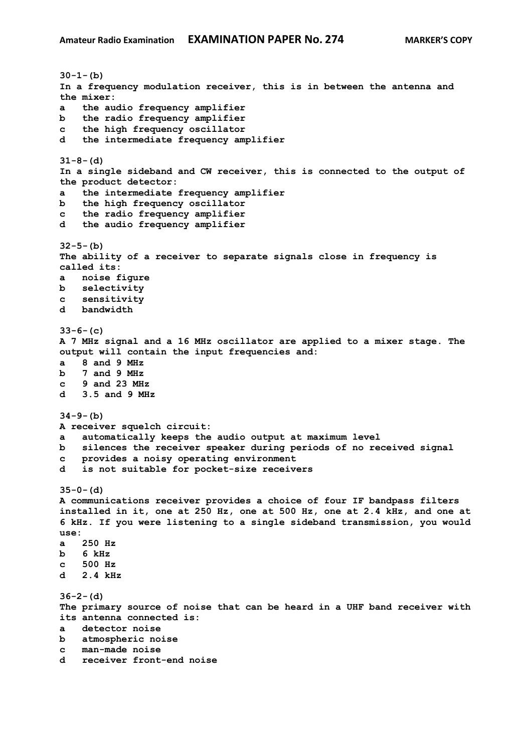**30-1-(b) In a frequency modulation receiver, this is in between the antenna and the mixer: a the audio frequency amplifier b the radio frequency amplifier c the high frequency oscillator d the intermediate frequency amplifier 31-8-(d) In a single sideband and CW receiver, this is connected to the output of the product detector: a the intermediate frequency amplifier b the high frequency oscillator c the radio frequency amplifier d the audio frequency amplifier 32-5-(b) The ability of a receiver to separate signals close in frequency is called its: a noise figure b selectivity c sensitivity d bandwidth 33-6-(c) A 7 MHz signal and a 16 MHz oscillator are applied to a mixer stage. The output will contain the input frequencies and: a 8 and 9 MHz b 7 and 9 MHz c 9 and 23 MHz d 3.5 and 9 MHz 34-9-(b) A receiver squelch circuit: a automatically keeps the audio output at maximum level b silences the receiver speaker during periods of no received signal c provides a noisy operating environment d is not suitable for pocket-size receivers 35-0-(d) A communications receiver provides a choice of four IF bandpass filters installed in it, one at 250 Hz, one at 500 Hz, one at 2.4 kHz, and one at 6 kHz. If you were listening to a single sideband transmission, you would use: a 250 Hz b 6 kHz c 500 Hz d 2.4 kHz 36-2-(d) The primary source of noise that can be heard in a UHF band receiver with its antenna connected is: a detector noise b atmospheric noise c man-made noise d receiver front-end noise**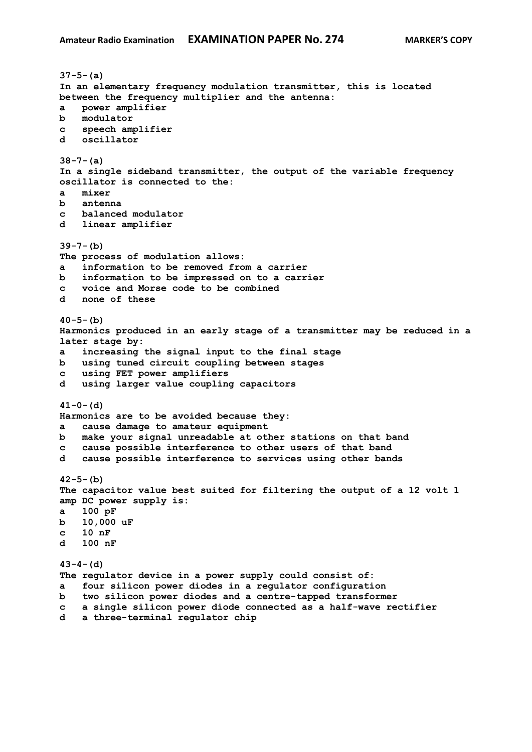**37-5-(a) In an elementary frequency modulation transmitter, this is located between the frequency multiplier and the antenna: a power amplifier b modulator c speech amplifier d oscillator 38-7-(a) In a single sideband transmitter, the output of the variable frequency oscillator is connected to the: a mixer b antenna c balanced modulator d linear amplifier 39-7-(b) The process of modulation allows: a information to be removed from a carrier b information to be impressed on to a carrier c voice and Morse code to be combined d none of these 40-5-(b) Harmonics produced in an early stage of a transmitter may be reduced in a later stage by: a increasing the signal input to the final stage b using tuned circuit coupling between stages c using FET power amplifiers d using larger value coupling capacitors 41-0-(d) Harmonics are to be avoided because they: a cause damage to amateur equipment b make your signal unreadable at other stations on that band c cause possible interference to other users of that band d cause possible interference to services using other bands 42-5-(b) The capacitor value best suited for filtering the output of a 12 volt 1 amp DC power supply is: a 100 pF b 10,000 uF c 10 nF d 100 nF 43-4-(d) The regulator device in a power supply could consist of: a four silicon power diodes in a regulator configuration b two silicon power diodes and a centre-tapped transformer c a single silicon power diode connected as a half-wave rectifier d a three-terminal regulator chip**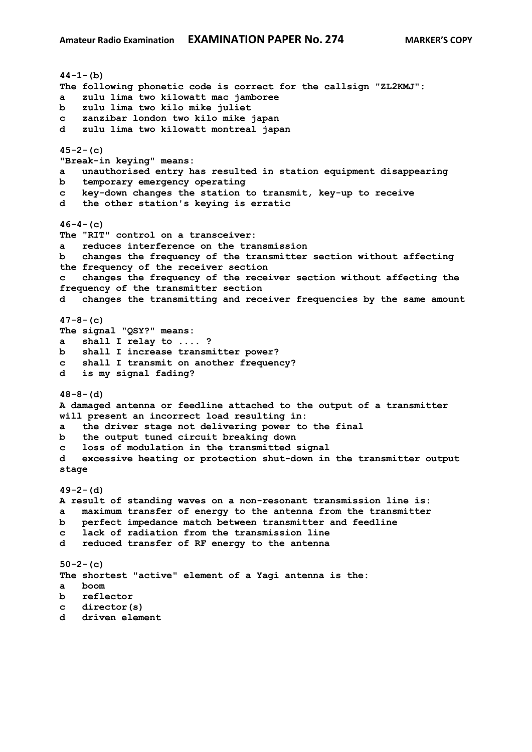**44-1-(b) The following phonetic code is correct for the callsign "ZL2KMJ": a zulu lima two kilowatt mac jamboree b zulu lima two kilo mike juliet c zanzibar london two kilo mike japan d zulu lima two kilowatt montreal japan 45-2-(c) "Break-in keying" means: a unauthorised entry has resulted in station equipment disappearing b temporary emergency operating c key-down changes the station to transmit, key-up to receive d the other station's keying is erratic 46-4-(c) The "RIT" control on a transceiver: a reduces interference on the transmission b changes the frequency of the transmitter section without affecting the frequency of the receiver section c changes the frequency of the receiver section without affecting the frequency of the transmitter section d changes the transmitting and receiver frequencies by the same amount 47-8-(c) The signal "QSY?" means: a shall I relay to .... ? b shall I increase transmitter power? c shall I transmit on another frequency? d is my signal fading? 48-8-(d) A damaged antenna or feedline attached to the output of a transmitter will present an incorrect load resulting in: a the driver stage not delivering power to the final b the output tuned circuit breaking down c loss of modulation in the transmitted signal d excessive heating or protection shut-down in the transmitter output stage 49-2-(d) A result of standing waves on a non-resonant transmission line is: a maximum transfer of energy to the antenna from the transmitter b perfect impedance match between transmitter and feedline c lack of radiation from the transmission line d reduced transfer of RF energy to the antenna 50-2-(c) The shortest "active" element of a Yagi antenna is the: a boom b reflector c director(s) d driven element**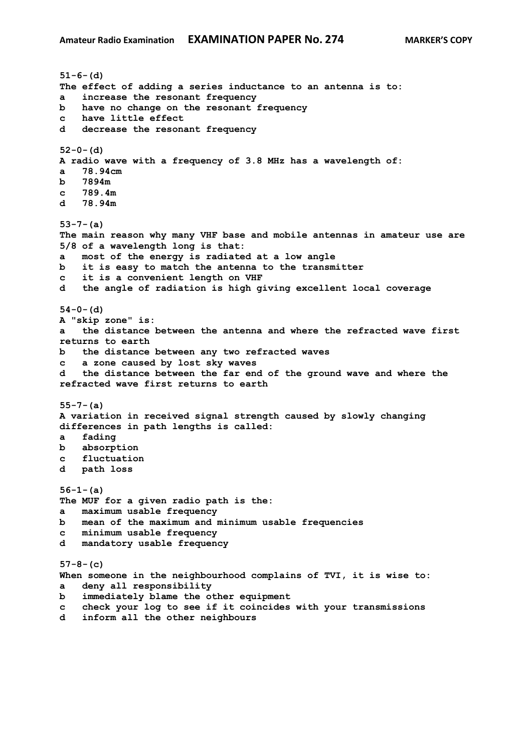```
51-6-(d)
The effect of adding a series inductance to an antenna is to:
a increase the resonant frequency
b have no change on the resonant frequency
c have little effect
d decrease the resonant frequency
52-0-(d)
A radio wave with a frequency of 3.8 MHz has a wavelength of:
a 78.94cm
b 7894m
c 789.4m
d 78.94m
53-7-(a)
The main reason why many VHF base and mobile antennas in amateur use are 
5/8 of a wavelength long is that:
a most of the energy is radiated at a low angle
b it is easy to match the antenna to the transmitter
c it is a convenient length on VHF
d the angle of radiation is high giving excellent local coverage
54-0-(d)
A "skip zone" is:
a the distance between the antenna and where the refracted wave first 
returns to earth
b the distance between any two refracted waves
c a zone caused by lost sky waves
d the distance between the far end of the ground wave and where the 
refracted wave first returns to earth
55-7-(a)
A variation in received signal strength caused by slowly changing 
differences in path lengths is called:
a fading
b absorption
c fluctuation
d path loss
56-1-(a)
The MUF for a given radio path is the:
a maximum usable frequency
b mean of the maximum and minimum usable frequencies
c minimum usable frequency
d mandatory usable frequency
57-8-(c)
When someone in the neighbourhood complains of TVI, it is wise to:
a deny all responsibility
b immediately blame the other equipment
c check your log to see if it coincides with your transmissions
d inform all the other neighbours
```